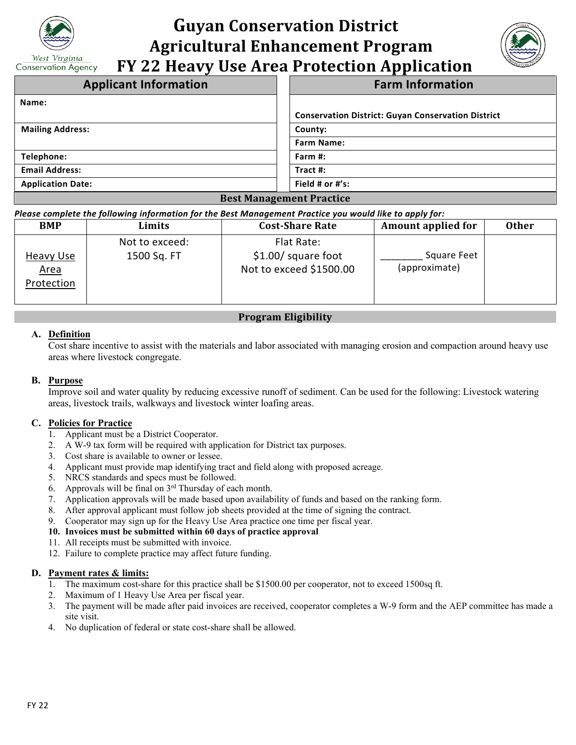

# **Guyan Conservation District Agricultural Enhancement Program FY 22 Heavy Use Area Protection Application**



| <b>Applicant Information</b>    | <b>Farm Information</b>                                   |  |  |
|---------------------------------|-----------------------------------------------------------|--|--|
| Name:                           |                                                           |  |  |
|                                 | <b>Conservation District: Guyan Conservation District</b> |  |  |
| <b>Mailing Address:</b>         | County:                                                   |  |  |
|                                 | <b>Farm Name:</b>                                         |  |  |
| Telephone:                      | Farm #:                                                   |  |  |
| <b>Email Address:</b>           | Tract #:                                                  |  |  |
| <b>Application Date:</b>        | Field # or #'s:                                           |  |  |
| <b>Best Management Practice</b> |                                                           |  |  |

#### *Please complete the following information for the Best Management Practice you would like to apply for:*

| <b>BMP</b>                             | Limits                        | <b>Cost-Share Rate</b>                                        | <b>Amount applied for</b>    | <b>Other</b> |
|----------------------------------------|-------------------------------|---------------------------------------------------------------|------------------------------|--------------|
| Heavy Use<br><u>Area</u><br>Protection | Not to exceed:<br>1500 Sq. FT | Flat Rate:<br>$$1.00/$ square foot<br>Not to exceed \$1500.00 | Square Feet<br>(approximate) |              |

### **Program Eligibility**

#### **A. Definition**

Cost share incentive to assist with the materials and labor associated with managing erosion and compaction around heavy use areas where livestock congregate.

#### **B. Purpose**

Improve soil and water quality by reducing excessive runoff of sediment. Can be used for the following: Livestock watering areas, livestock trails, walkways and livestock winter loafing areas.

#### **C. Policies for Practice**

- 1. Applicant must be a District Cooperator.
- 2. A W-9 tax form will be required with application for District tax purposes.
- 3. Cost share is available to owner or lessee.
- 4. Applicant must provide map identifying tract and field along with proposed acreage.
- 5. NRCS standards and specs must be followed.
- 6. Approvals will be final on  $3<sup>rd</sup>$  Thursday of each month.
- 7. Application approvals will be made based upon availability of funds and based on the ranking form.
- 8. After approval applicant must follow job sheets provided at the time of signing the contract.
- 9. Cooperator may sign up for the Heavy Use Area practice one time per fiscal year.

#### **10. Invoices must be submitted within 60 days of practice approval**

- 11. All receipts must be submitted with invoice.
- 12. Failure to complete practice may affect future funding.

#### **D. Payment rates & limits:**

- 1. The maximum cost-share for this practice shall be \$1500.00 per cooperator, not to exceed 1500sq ft.
- 2. Maximum of 1 Heavy Use Area per fiscal year.
- 3. The payment will be made after paid invoices are received, cooperator completes a W-9 form and the AEP committee has made a site visit.
- 4. No duplication of federal or state cost-share shall be allowed.